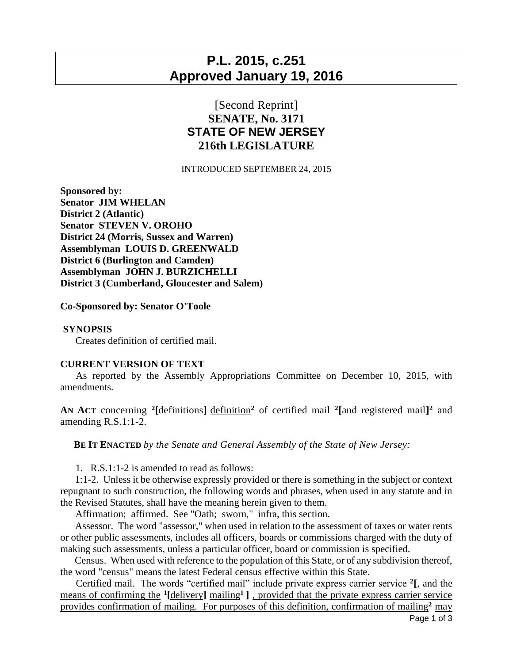## **P.L. 2015, c.251 Approved January 19, 2016**

## [Second Reprint] **SENATE, No. 3171 STATE OF NEW JERSEY 216th LEGISLATURE**

INTRODUCED SEPTEMBER 24, 2015

**Sponsored by: Senator JIM WHELAN District 2 (Atlantic) Senator STEVEN V. OROHO District 24 (Morris, Sussex and Warren) Assemblyman LOUIS D. GREENWALD District 6 (Burlington and Camden) Assemblyman JOHN J. BURZICHELLI District 3 (Cumberland, Gloucester and Salem)**

**Co-Sponsored by: Senator O'Toole**

## **SYNOPSIS**

Creates definition of certified mail.

## **CURRENT VERSION OF TEXT**

 As reported by the Assembly Appropriations Committee on December 10, 2015, with amendments.

**AN ACT** concerning **<sup>2</sup> [**definitions**]** definition**<sup>2</sup>** of certified mail **<sup>2</sup> [**and registered mail**] <sup>2</sup>** and amending R.S.1:1-2.

**BE IT ENACTED** *by the Senate and General Assembly of the State of New Jersey:*

1. R.S.1:1-2 is amended to read as follows:

 1:1-2. Unless it be otherwise expressly provided or there is something in the subject or context repugnant to such construction, the following words and phrases, when used in any statute and in the Revised Statutes, shall have the meaning herein given to them.

Affirmation; affirmed. See "Oath; sworn," infra, this section.

 Assessor. The word "assessor," when used in relation to the assessment of taxes or water rents or other public assessments, includes all officers, boards or commissions charged with the duty of making such assessments, unless a particular officer, board or commission is specified.

 Census. When used with reference to the population of this State, or of any subdivision thereof, the word "census" means the latest Federal census effective within this State.

 Certified mail. The words "certified mail" include private express carrier service **<sup>2</sup> [**, and the means of confirming the **<sup>1</sup> [**delivery**]** mailing**<sup>1</sup>]** , provided that the private express carrier service provides confirmation of mailing. For purposes of this definition, confirmation of mailing**<sup>2</sup>** may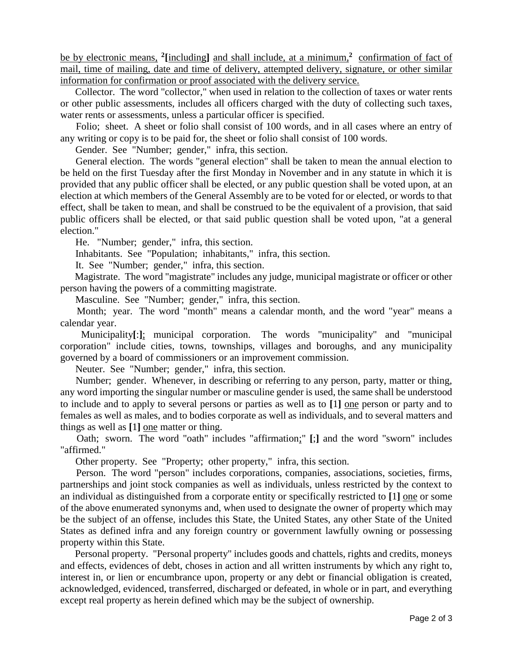be by electronic means, **<sup>2</sup> [**including**]** and shall include, at a minimum,**<sup>2</sup>** confirmation of fact of mail, time of mailing, date and time of delivery, attempted delivery, signature, or other similar information for confirmation or proof associated with the delivery service.

 Collector. The word "collector," when used in relation to the collection of taxes or water rents or other public assessments, includes all officers charged with the duty of collecting such taxes, water rents or assessments, unless a particular officer is specified.

 Folio; sheet. A sheet or folio shall consist of 100 words, and in all cases where an entry of any writing or copy is to be paid for, the sheet or folio shall consist of 100 words.

Gender. See "Number; gender," infra, this section.

 General election. The words "general election" shall be taken to mean the annual election to be held on the first Tuesday after the first Monday in November and in any statute in which it is provided that any public officer shall be elected, or any public question shall be voted upon, at an election at which members of the General Assembly are to be voted for or elected, or words to that effect, shall be taken to mean, and shall be construed to be the equivalent of a provision, that said public officers shall be elected, or that said public question shall be voted upon, "at a general election."

He. "Number; gender," infra, this section.

Inhabitants. See "Population; inhabitants," infra, this section.

It. See "Number; gender," infra, this section.

 Magistrate. The word "magistrate" includes any judge, municipal magistrate or officer or other person having the powers of a committing magistrate.

Masculine. See "Number; gender," infra, this section.

 Month; year. The word "month" means a calendar month, and the word "year" means a calendar year.

 Municipality**[**:**]**; municipal corporation. The words "municipality" and "municipal corporation" include cities, towns, townships, villages and boroughs, and any municipality governed by a board of commissioners or an improvement commission.

Neuter. See "Number; gender," infra, this section.

 Number; gender. Whenever, in describing or referring to any person, party, matter or thing, any word importing the singular number or masculine gender is used, the same shall be understood to include and to apply to several persons or parties as well as to **[**1**]** one person or party and to females as well as males, and to bodies corporate as well as individuals, and to several matters and things as well as **[**1**]** one matter or thing.

 Oath; sworn. The word "oath" includes "affirmation;" **[**;**]** and the word "sworn" includes "affirmed."

Other property. See "Property; other property," infra, this section.

 Person. The word "person" includes corporations, companies, associations, societies, firms, partnerships and joint stock companies as well as individuals, unless restricted by the context to an individual as distinguished from a corporate entity or specifically restricted to **[**1**]** one or some of the above enumerated synonyms and, when used to designate the owner of property which may be the subject of an offense, includes this State, the United States, any other State of the United States as defined infra and any foreign country or government lawfully owning or possessing property within this State.

 Personal property. "Personal property" includes goods and chattels, rights and credits, moneys and effects, evidences of debt, choses in action and all written instruments by which any right to, interest in, or lien or encumbrance upon, property or any debt or financial obligation is created, acknowledged, evidenced, transferred, discharged or defeated, in whole or in part, and everything except real property as herein defined which may be the subject of ownership.